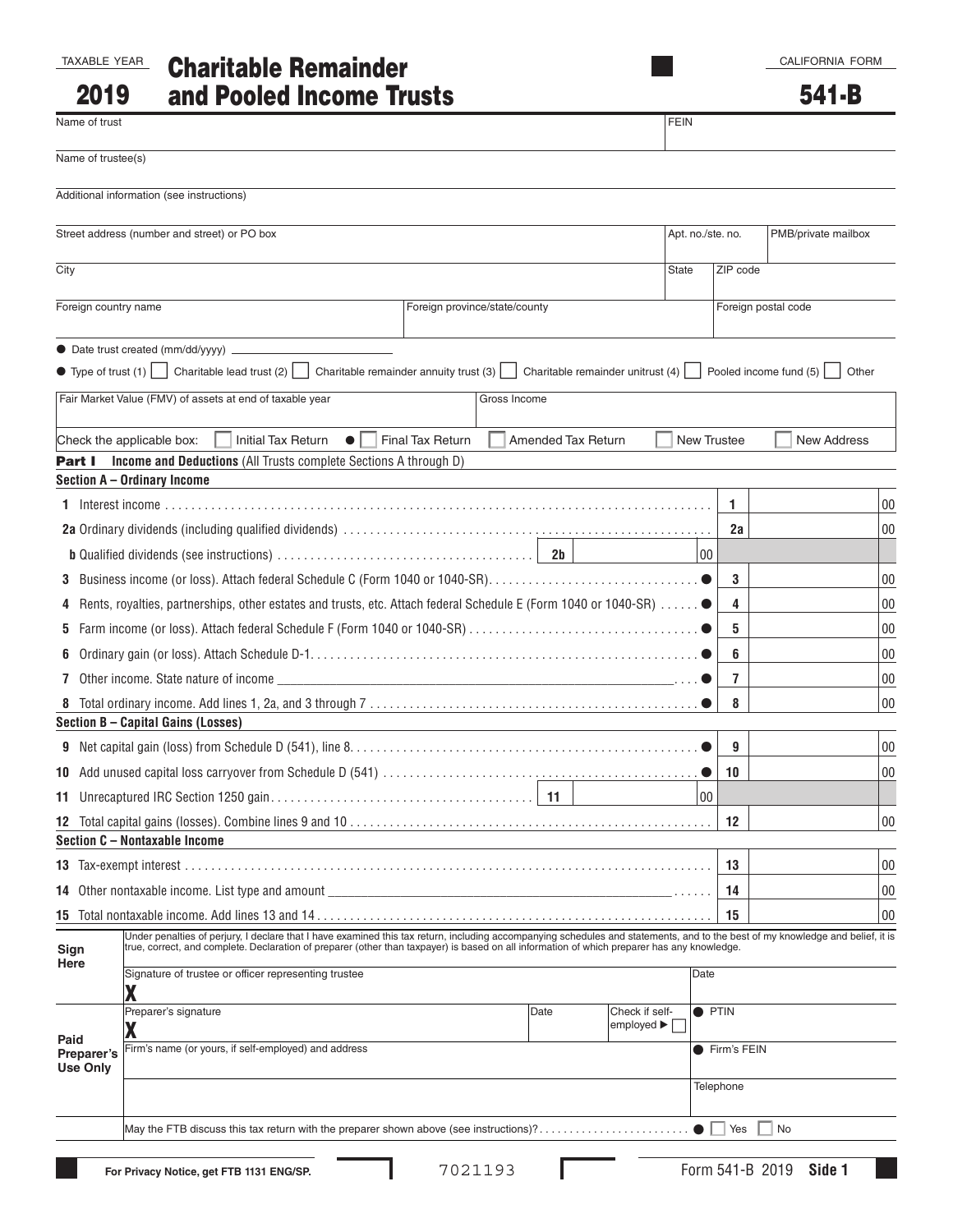CALIFORNIA FORM

| FAXARIF YFA |  |
|-------------|--|
|             |  |

2019

# TAXABLE YEAR Charitable Remainder and Pooled Income Trusts

| Name of trust        |                                                                                                                                                                                                                                                                                                                               | <b>FEIN</b>                                               |               |                     |
|----------------------|-------------------------------------------------------------------------------------------------------------------------------------------------------------------------------------------------------------------------------------------------------------------------------------------------------------------------------|-----------------------------------------------------------|---------------|---------------------|
| Name of trustee(s)   |                                                                                                                                                                                                                                                                                                                               |                                                           |               |                     |
|                      | Additional information (see instructions)                                                                                                                                                                                                                                                                                     |                                                           |               |                     |
|                      | Street address (number and street) or PO box                                                                                                                                                                                                                                                                                  | Apt. no./ste. no.                                         |               | PMB/private mailbox |
| City                 |                                                                                                                                                                                                                                                                                                                               | <b>State</b>                                              | ZIP code      |                     |
| Foreign country name | Foreign province/state/county                                                                                                                                                                                                                                                                                                 |                                                           |               | Foreign postal code |
|                      |                                                                                                                                                                                                                                                                                                                               |                                                           |               |                     |
|                      | • Type of trust (1) Charitable lead trust (2) Charitable remainder annuity trust (3) Charitable remainder unitrust (4) Pooled income fund (5)                                                                                                                                                                                 |                                                           |               | Other               |
|                      | Fair Market Value (FMV) of assets at end of taxable year<br>Gross Income                                                                                                                                                                                                                                                      |                                                           |               |                     |
|                      | Check the applicable box:<br><b>Initial Tax Return</b><br><b>Final Tax Return</b><br>$\bullet$<br><b>Amended Tax Return</b>                                                                                                                                                                                                   | <b>New Trustee</b>                                        |               | <b>New Address</b>  |
| Part I               | <b>Income and Deductions (All Trusts complete Sections A through D)</b>                                                                                                                                                                                                                                                       |                                                           |               |                     |
|                      | Section A - Ordinary Income                                                                                                                                                                                                                                                                                                   |                                                           |               |                     |
|                      |                                                                                                                                                                                                                                                                                                                               |                                                           | 1             | $00\,$              |
|                      |                                                                                                                                                                                                                                                                                                                               |                                                           | 2a            | 00                  |
|                      |                                                                                                                                                                                                                                                                                                                               | 00                                                        |               |                     |
|                      |                                                                                                                                                                                                                                                                                                                               |                                                           | 3             | 00                  |
| 4                    | Rents, royalties, partnerships, other estates and trusts, etc. Attach federal Schedule E (Form 1040 or 1040-SR) ●                                                                                                                                                                                                             |                                                           | 4             | 00                  |
| 5                    |                                                                                                                                                                                                                                                                                                                               |                                                           | 5             | 00                  |
| 6                    |                                                                                                                                                                                                                                                                                                                               |                                                           | 6             | 00                  |
|                      | 7 Other income. State nature of income $\qquad \qquad$                                                                                                                                                                                                                                                                        |                                                           | 7             | 00                  |
| 8                    |                                                                                                                                                                                                                                                                                                                               |                                                           | 8             | 00                  |
|                      | Section B - Capital Gains (Losses)                                                                                                                                                                                                                                                                                            |                                                           |               |                     |
|                      |                                                                                                                                                                                                                                                                                                                               |                                                           | 9             | 00                  |
|                      |                                                                                                                                                                                                                                                                                                                               |                                                           | 10            | 00                  |
|                      |                                                                                                                                                                                                                                                                                                                               | 00                                                        |               |                     |
|                      | Section C - Nontaxable Income                                                                                                                                                                                                                                                                                                 |                                                           | 12            | 00                  |
|                      |                                                                                                                                                                                                                                                                                                                               |                                                           | 13            | $00\,$              |
|                      |                                                                                                                                                                                                                                                                                                                               |                                                           | 14            | $00\,$              |
|                      |                                                                                                                                                                                                                                                                                                                               |                                                           | 15            | 00                  |
| Sign                 | Under penalties of perjury, I declare that I have examined this tax return, including accompanying schedules and statements, and to the best of my knowledge and belief, it is<br>true, correct, and complete. Declaration of preparer (other than taxpayer) is based on all information of which preparer has any knowledge. |                                                           |               |                     |
| Here                 | Signature of trustee or officer representing trustee<br>χ                                                                                                                                                                                                                                                                     | Date                                                      |               |                     |
|                      | Preparer's signature<br>Date                                                                                                                                                                                                                                                                                                  | Check if self-<br>employed $\blacktriangleright$ $\lceil$ | <b>O</b> PTIN |                     |
| Paid<br>Preparer's   | χ<br>Firm's name (or yours, if self-employed) and address                                                                                                                                                                                                                                                                     |                                                           | ● Firm's FEIN |                     |
| <b>Use Only</b>      |                                                                                                                                                                                                                                                                                                                               |                                                           |               |                     |
|                      |                                                                                                                                                                                                                                                                                                                               |                                                           | Telephone     |                     |
|                      | May the FTB discuss this tax return with the preparer shown above (see instructions)?                                                                                                                                                                                                                                         |                                                           | Yes           | No                  |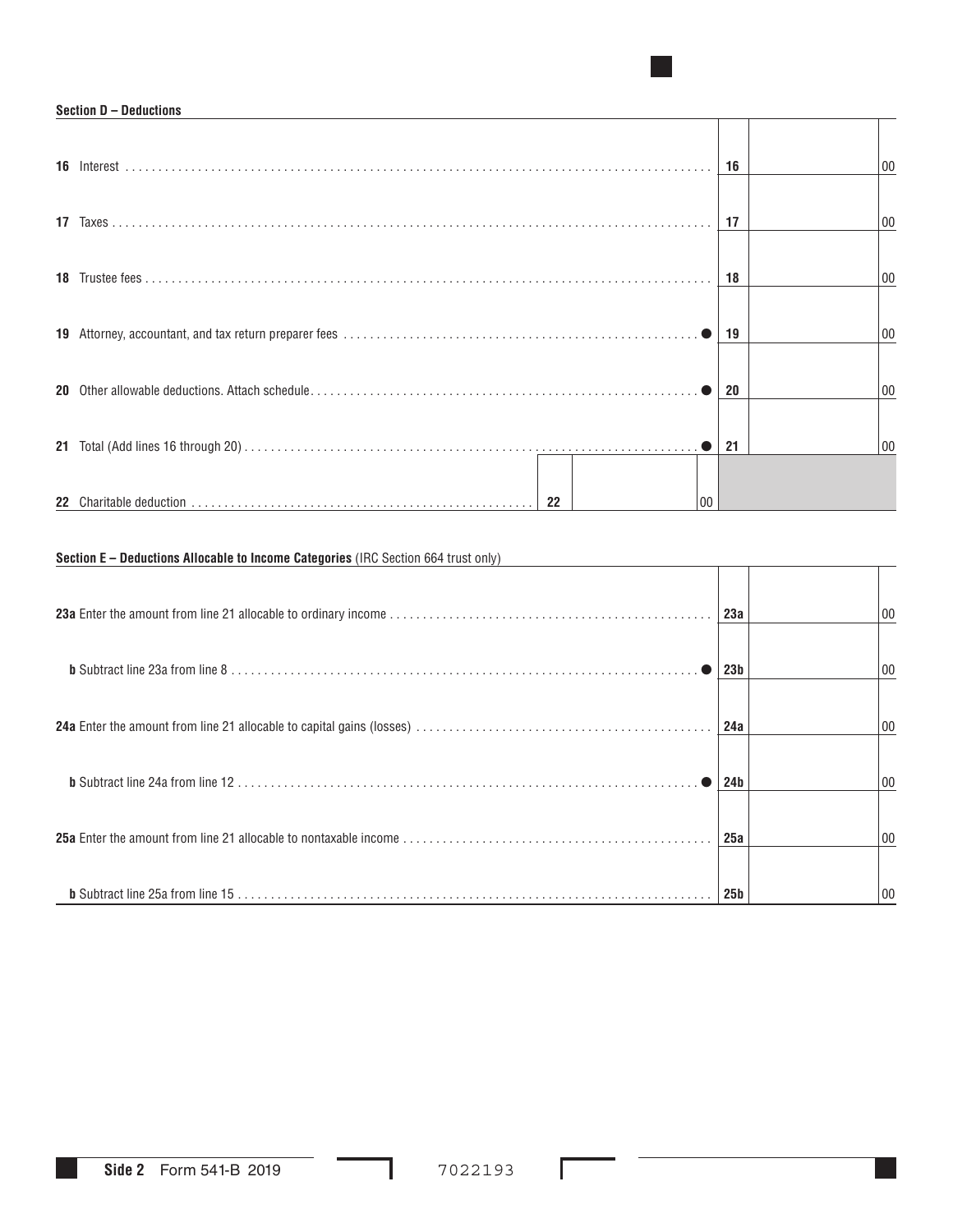#### **Section D – Deductions**

|         | 16 | 00 |
|---------|----|----|
|         | 17 | 00 |
|         | 18 | 00 |
|         | 19 | 00 |
|         | 20 | 00 |
|         | 21 | 00 |
| 22<br>n |    |    |

■

## **Section E – Deductions Allocable to Income Categories** (IRC Section 664 trust only)

| 23a             | 00 |
|-----------------|----|
| 23 <sub>b</sub> | 00 |
| 24a             | 00 |
| 24b             | 00 |
| 25a             | 00 |
| 25 <sub>b</sub> | 00 |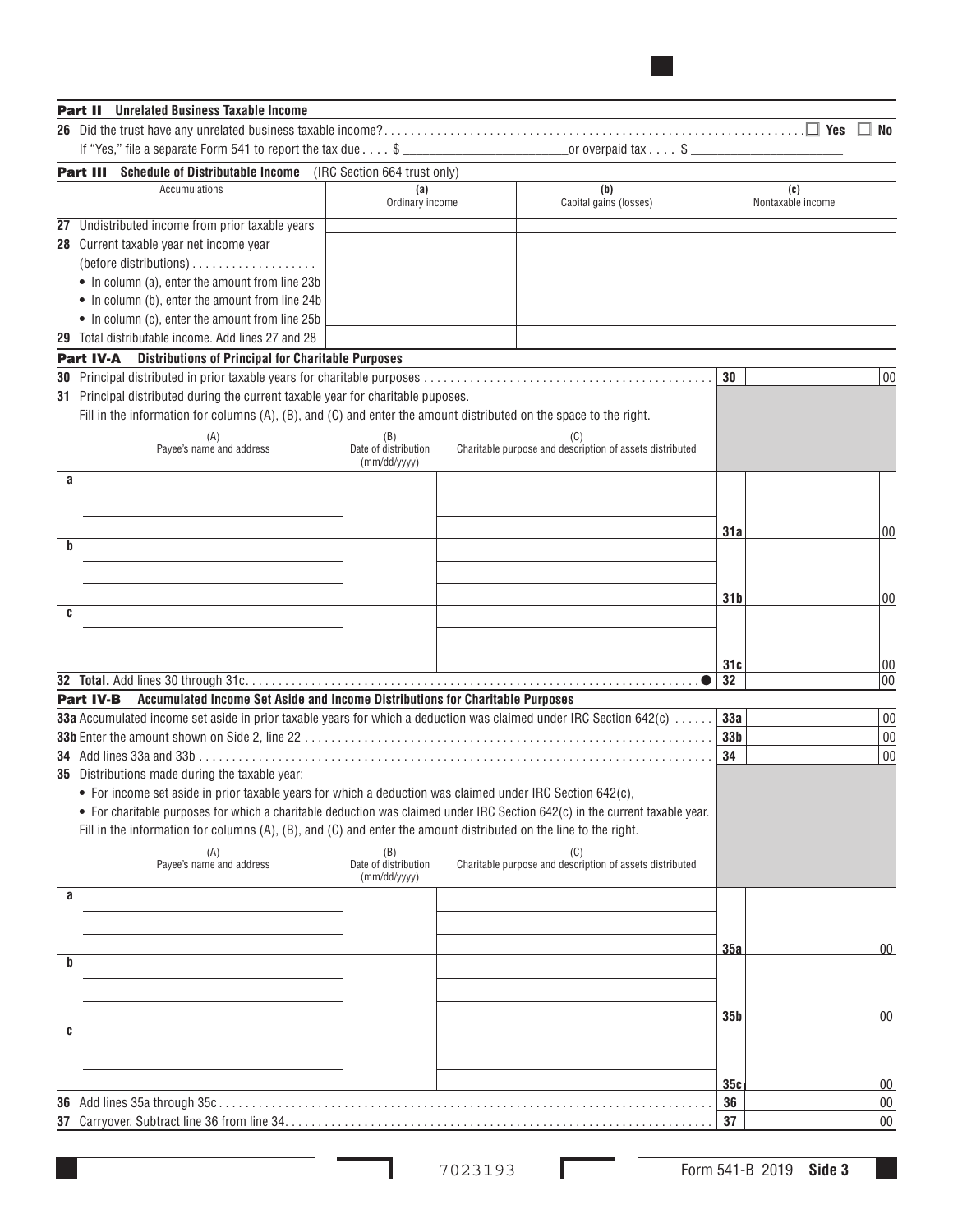| <b>Part II</b> Unrelated Business Taxable Income                                                                                              |                                             |                                                                 |                 |                          |                  |
|-----------------------------------------------------------------------------------------------------------------------------------------------|---------------------------------------------|-----------------------------------------------------------------|-----------------|--------------------------|------------------|
|                                                                                                                                               |                                             |                                                                 |                 |                          | No               |
|                                                                                                                                               |                                             | or overpaid $\tan x \ldots$ \$ ___                              |                 |                          |                  |
| Schedule of Distributable Income (IRC Section 664 trust only)<br>Part III                                                                     |                                             |                                                                 |                 |                          |                  |
| Accumulations                                                                                                                                 | (a)<br>Ordinary income                      | (b)<br>Capital gains (losses)                                   |                 | (c)<br>Nontaxable income |                  |
| 27 Undistributed income from prior taxable years                                                                                              |                                             |                                                                 |                 |                          |                  |
| 28 Current taxable year net income year<br>• In column (a), enter the amount from line 23b<br>• In column (b), enter the amount from line 24b |                                             |                                                                 |                 |                          |                  |
| • In column (c), enter the amount from line 25b                                                                                               |                                             |                                                                 |                 |                          |                  |
| 29 Total distributable income. Add lines 27 and 28                                                                                            |                                             |                                                                 |                 |                          |                  |
| <b>Distributions of Principal for Charitable Purposes</b><br><b>Part IV-A</b>                                                                 |                                             |                                                                 |                 |                          |                  |
|                                                                                                                                               |                                             |                                                                 | 30              |                          | 00               |
| 31 Principal distributed during the current taxable year for charitable puposes.                                                              |                                             |                                                                 |                 |                          |                  |
| Fill in the information for columns $(A)$ , $(B)$ , and $(C)$ and enter the amount distributed on the space to the right.                     |                                             |                                                                 |                 |                          |                  |
| (A)<br>Payee's name and address                                                                                                               | (B)<br>Date of distribution<br>(mm/dd/yyyy) | (C)<br>Charitable purpose and description of assets distributed |                 |                          |                  |
| a                                                                                                                                             |                                             |                                                                 |                 |                          |                  |
|                                                                                                                                               |                                             |                                                                 |                 |                          |                  |
|                                                                                                                                               |                                             |                                                                 | 31a             |                          | $00\,$           |
| b                                                                                                                                             |                                             |                                                                 |                 |                          |                  |
|                                                                                                                                               |                                             |                                                                 |                 |                          |                  |
|                                                                                                                                               |                                             |                                                                 |                 |                          |                  |
| C                                                                                                                                             |                                             |                                                                 | 31 b            |                          | $00\,$           |
|                                                                                                                                               |                                             |                                                                 |                 |                          |                  |
|                                                                                                                                               |                                             |                                                                 |                 |                          |                  |
|                                                                                                                                               |                                             |                                                                 | 31c             |                          | 00               |
| Accumulated Income Set Aside and Income Distributions for Charitable Purposes<br><b>Part IV-B</b>                                             |                                             |                                                                 | 32              |                          | 00               |
| 33a Accumulated income set aside in prior taxable years for which a deduction was claimed under IRC Section 642(c)                            |                                             |                                                                 | 33a             |                          | 00               |
|                                                                                                                                               |                                             |                                                                 | 33 <sub>b</sub> |                          | 00               |
| <b>34</b> Add lines 33a and 33b                                                                                                               |                                             |                                                                 | 34              |                          | 00               |
| 35 Distributions made during the taxable year:                                                                                                |                                             |                                                                 |                 |                          |                  |
| • For income set aside in prior taxable years for which a deduction was claimed under IRC Section 642(c),                                     |                                             |                                                                 |                 |                          |                  |
| • For charitable purposes for which a charitable deduction was claimed under IRC Section 642(c) in the current taxable year.                  |                                             |                                                                 |                 |                          |                  |
| Fill in the information for columns (A), (B), and (C) and enter the amount distributed on the line to the right.                              |                                             |                                                                 |                 |                          |                  |
| (A)<br>Payee's name and address                                                                                                               | (B)<br>Date of distribution<br>(mm/dd/yyyy) | Charitable purpose and description of assets distributed        |                 |                          |                  |
| a                                                                                                                                             |                                             |                                                                 |                 |                          |                  |
|                                                                                                                                               |                                             |                                                                 |                 |                          |                  |
|                                                                                                                                               |                                             |                                                                 | 35a             |                          | $ 00\rangle$     |
| b                                                                                                                                             |                                             |                                                                 |                 |                          |                  |
|                                                                                                                                               |                                             |                                                                 |                 |                          |                  |
|                                                                                                                                               |                                             |                                                                 | 35 <sub>b</sub> |                          |                  |
| C                                                                                                                                             |                                             |                                                                 |                 |                          | 00               |
|                                                                                                                                               |                                             |                                                                 |                 |                          |                  |
|                                                                                                                                               |                                             |                                                                 |                 |                          |                  |
|                                                                                                                                               |                                             |                                                                 | 35c             |                          | 00               |
|                                                                                                                                               |                                             |                                                                 | 36<br>37        |                          | $00\,$<br>$00\,$ |
|                                                                                                                                               |                                             |                                                                 |                 |                          |                  |

■

 $\overline{\phantom{0}}$  $\sim$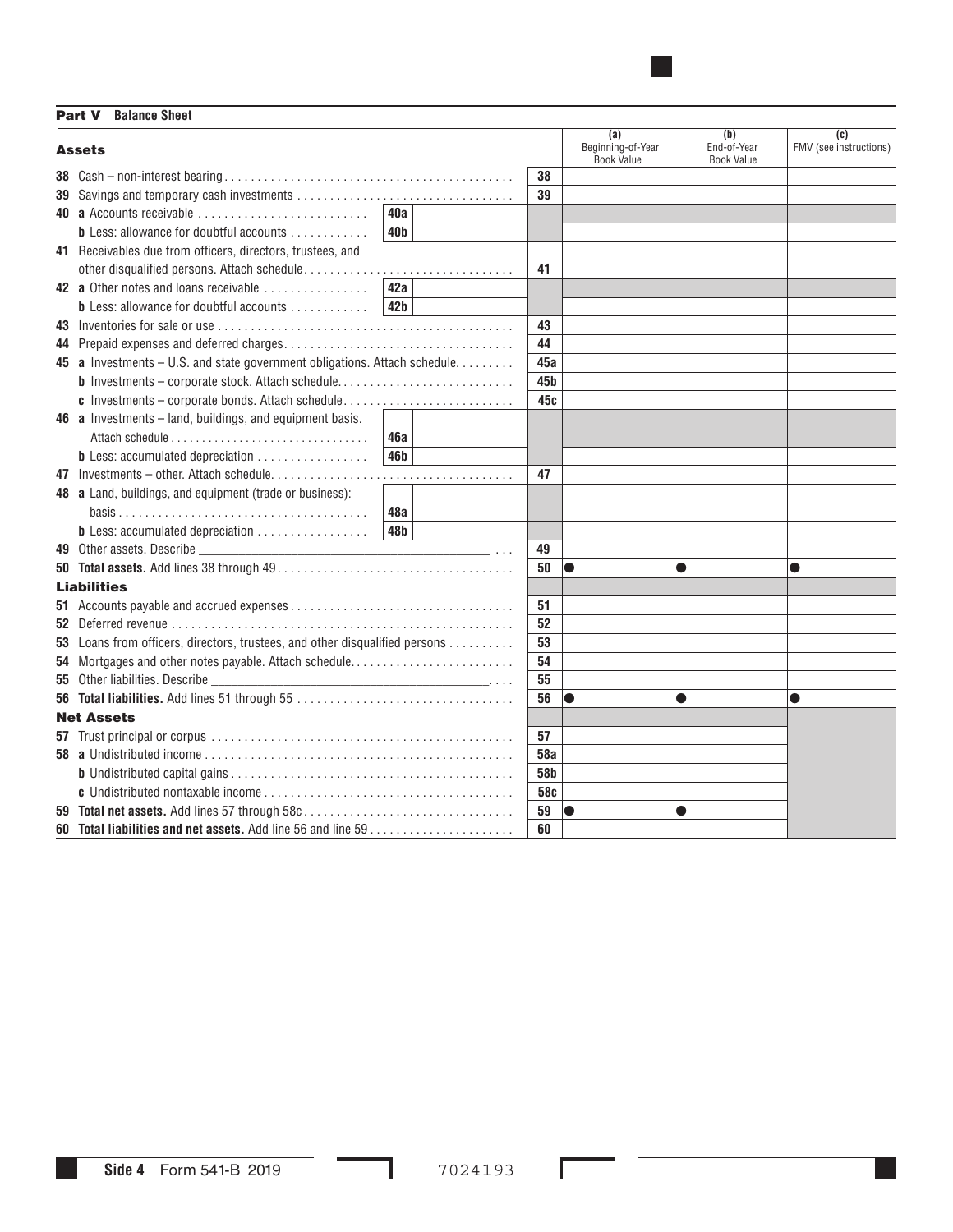Part V **Balance Sheet** 

| <b>Assets</b>                                                               |                 |                 | (a)<br>Beginning-of-Year<br><b>Book Value</b> | (b)<br>End-of-Year<br><b>Book Value</b> | $\overline{c}$<br>FMV (see instructions) |
|-----------------------------------------------------------------------------|-----------------|-----------------|-----------------------------------------------|-----------------------------------------|------------------------------------------|
|                                                                             |                 | 38              |                                               |                                         |                                          |
|                                                                             |                 | 39              |                                               |                                         |                                          |
| 40 a Accounts receivable                                                    | 40a             |                 |                                               |                                         |                                          |
| <b>b</b> Less: allowance for doubtful accounts $\ldots$ , $\ldots$          | 40 <sub>b</sub> |                 |                                               |                                         |                                          |
| 41 Receivables due from officers, directors, trustees, and                  |                 |                 |                                               |                                         |                                          |
|                                                                             |                 | 41              |                                               |                                         |                                          |
| 42 a Other notes and loans receivable                                       | 42a             |                 |                                               |                                         |                                          |
| <b>b</b> Less: allowance for doubtful accounts $\ldots$ ,,,,,,,,,           | 42 <sub>b</sub> |                 |                                               |                                         |                                          |
|                                                                             |                 | 43              |                                               |                                         |                                          |
|                                                                             |                 | 44              |                                               |                                         |                                          |
| 45 a Investments - U.S. and state government obligations. Attach schedule.  |                 | 45а             |                                               |                                         |                                          |
| <b>b</b> Investments - corporate stock. Attach schedule                     |                 | 45 <sub>b</sub> |                                               |                                         |                                          |
| c Investments - corporate bonds. Attach schedule                            |                 | 45c             |                                               |                                         |                                          |
| 46 a Investments - land, buildings, and equipment basis.                    |                 |                 |                                               |                                         |                                          |
|                                                                             | <b>46a</b>      |                 |                                               |                                         |                                          |
| <b>b</b> Less: accumulated depreciation                                     | 46 <b>b</b>     |                 |                                               |                                         |                                          |
|                                                                             |                 | 47              |                                               |                                         |                                          |
| 48 a Land, buildings, and equipment (trade or business):                    |                 |                 |                                               |                                         |                                          |
|                                                                             | 48a             |                 |                                               |                                         |                                          |
| <b>b</b> Less: accumulated depreciation                                     | 48b             |                 |                                               |                                         |                                          |
|                                                                             |                 | 49              |                                               |                                         |                                          |
|                                                                             |                 | 50              | lo                                            |                                         | O                                        |
| <b>Liabilities</b>                                                          |                 |                 |                                               |                                         |                                          |
|                                                                             |                 | 51              |                                               |                                         |                                          |
|                                                                             |                 | 52              |                                               |                                         |                                          |
| 53 Loans from officers, directors, trustees, and other disqualified persons |                 | 53              |                                               |                                         |                                          |
| 54 Mortgages and other notes payable. Attach schedule                       |                 | 54              |                                               |                                         |                                          |
|                                                                             |                 | 55              |                                               |                                         |                                          |
|                                                                             |                 | 56              | lo                                            | $\bullet$                               | $\bullet$                                |
| <b>Net Assets</b>                                                           |                 |                 |                                               |                                         |                                          |
|                                                                             |                 | 57              |                                               |                                         |                                          |
|                                                                             |                 | <b>58a</b>      |                                               |                                         |                                          |
|                                                                             |                 | 58b             |                                               |                                         |                                          |
|                                                                             |                 | 58c             |                                               |                                         |                                          |
| 59 Total net assets. Add lines 57 through 58c                               |                 | 59              | lo                                            |                                         |                                          |
|                                                                             |                 | 60              |                                               |                                         |                                          |

■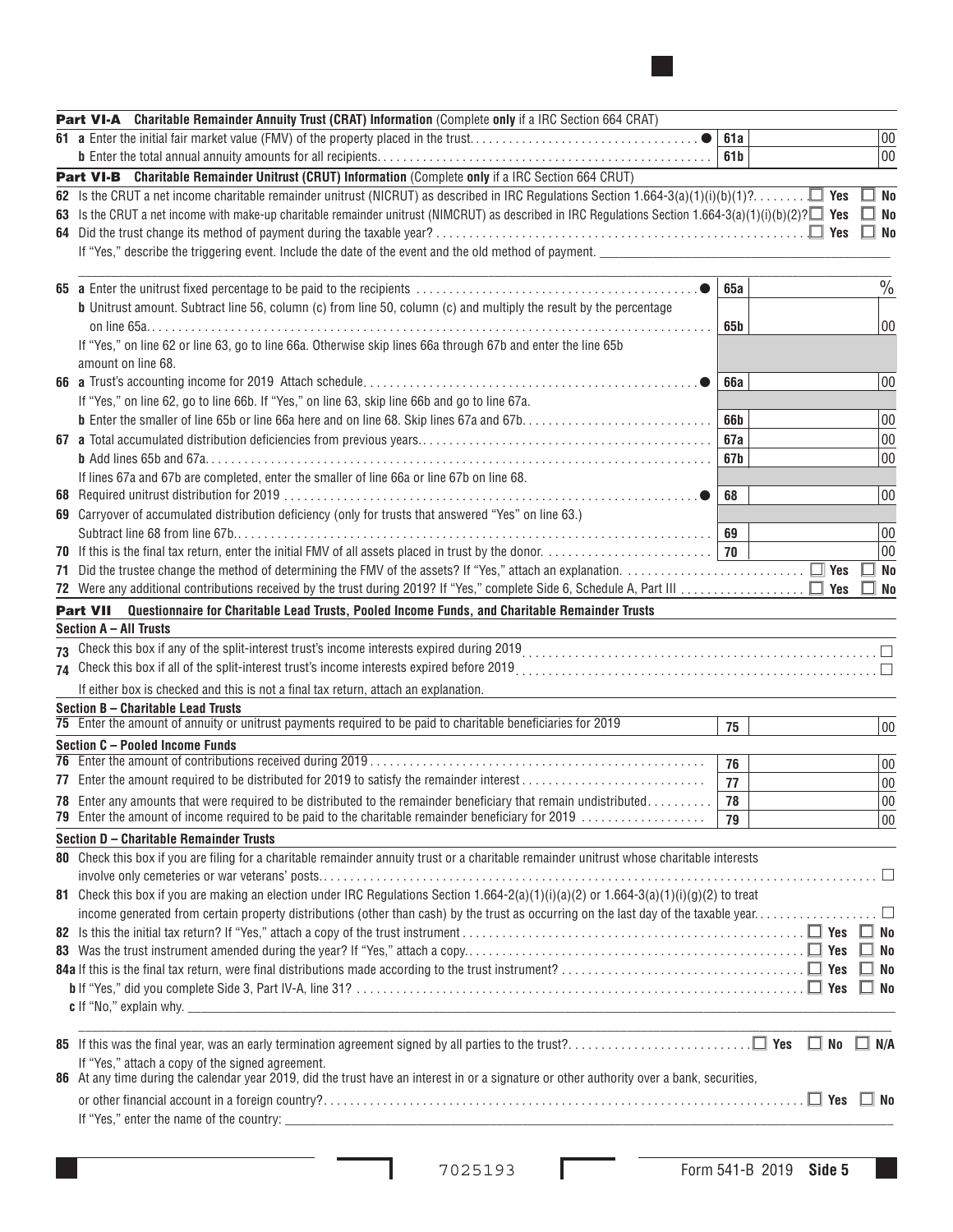| Part VI-A Charitable Remainder Annuity Trust (CRAT) Information (Complete only if a IRC Section 664 CRAT)                                                   |     |  |               |
|-------------------------------------------------------------------------------------------------------------------------------------------------------------|-----|--|---------------|
| 61 a Enter the initial fair market value (FMV) of the property placed in the trust                                                                          | 61a |  | 00            |
|                                                                                                                                                             | 61b |  | 00            |
| Part VI-B Charitable Remainder Unitrust (CRUT) Information (Complete only if a IRC Section 664 CRUT)                                                        |     |  |               |
|                                                                                                                                                             |     |  | ⊿ No          |
| 63 Is the CRUT a net income with make-up charitable remainder unitrust (NIMCRUT) as described in IRC Regulations Section 1.664-3(a)(1)(i)(b)(2)? $\Box$ Yes |     |  | $\Box$ No     |
|                                                                                                                                                             |     |  | $\Box$ No     |
|                                                                                                                                                             |     |  |               |
|                                                                                                                                                             |     |  |               |
|                                                                                                                                                             | 65a |  | $\frac{0}{0}$ |
| <b>b</b> Unitrust amount. Subtract line 56, column (c) from line 50, column (c) and multiply the result by the percentage                                   |     |  |               |
|                                                                                                                                                             | 65b |  | 00            |
| If "Yes," on line 62 or line 63, go to line 66a. Otherwise skip lines 66a through 67b and enter the line 65b                                                |     |  |               |
| amount on line 68.                                                                                                                                          |     |  |               |
|                                                                                                                                                             | 66a |  | 00            |
| If "Yes," on line 62, go to line 66b. If "Yes," on line 63, skip line 66b and go to line 67a.                                                               |     |  |               |
|                                                                                                                                                             | 66b |  | 00            |
|                                                                                                                                                             |     |  |               |
|                                                                                                                                                             | 67a |  | $00\,$        |
|                                                                                                                                                             | 67b |  | 00            |
| If lines 67a and 67b are completed, enter the smaller of line 66a or line 67b on line 68.                                                                   |     |  |               |
|                                                                                                                                                             | 68  |  | 00            |
| 69 Carryover of accumulated distribution deficiency (only for trusts that answered "Yes" on line 63.)                                                       |     |  |               |
|                                                                                                                                                             | 69  |  | 00            |
|                                                                                                                                                             | 70  |  | 00            |
|                                                                                                                                                             |     |  | No            |
|                                                                                                                                                             |     |  | $\Box$ No     |
| Part VII Questionnaire for Charitable Lead Trusts, Pooled Income Funds, and Charitable Remainder Trusts                                                     |     |  |               |
| Section A - All Trusts                                                                                                                                      |     |  |               |
|                                                                                                                                                             |     |  |               |
|                                                                                                                                                             |     |  |               |
| If either box is checked and this is not a final tax return, attach an explanation.                                                                         |     |  |               |
| Section B - Charitable Lead Trusts                                                                                                                          |     |  |               |
| 75 Enter the amount of annuity or unitrust payments required to be paid to charitable beneficiaries for 2019                                                | 75  |  | 00            |
| Section C - Pooled Income Funds                                                                                                                             |     |  |               |
|                                                                                                                                                             | 76  |  | 00            |
|                                                                                                                                                             | 77  |  | 00            |
| 78 Enter any amounts that were required to be distributed to the remainder beneficiary that remain undistributed                                            | 78  |  | $00\,$        |
| 79 Enter the amount of income required to be paid to the charitable remainder beneficiary for 2019                                                          | 79  |  | 00            |
| Section D - Charitable Remainder Trusts                                                                                                                     |     |  |               |
| 80 Check this box if you are filing for a charitable remainder annuity trust or a charitable remainder unitrust whose charitable interests                  |     |  |               |
|                                                                                                                                                             |     |  |               |
| 81 Check this box if you are making an election under IRC Regulations Section $1.664-2(a)(1)(i)(a)(2)$ or $1.664-3(a)(1)(i)(g)(2)$ to treat                 |     |  |               |
|                                                                                                                                                             |     |  |               |
|                                                                                                                                                             |     |  |               |
|                                                                                                                                                             |     |  | <b>No</b>     |
|                                                                                                                                                             |     |  | ∃ No          |
|                                                                                                                                                             |     |  | $\square$ No  |
|                                                                                                                                                             |     |  |               |
|                                                                                                                                                             |     |  |               |
|                                                                                                                                                             |     |  |               |
| If "Yes," attach a copy of the signed agreement.                                                                                                            |     |  |               |
| 86 At any time during the calendar year 2019, did the trust have an interest in or a signature or other authority over a bank, securities,                  |     |  |               |
|                                                                                                                                                             |     |  |               |
|                                                                                                                                                             |     |  |               |
|                                                                                                                                                             |     |  |               |

 $\overline{\phantom{0}}$  $\sim$  ■